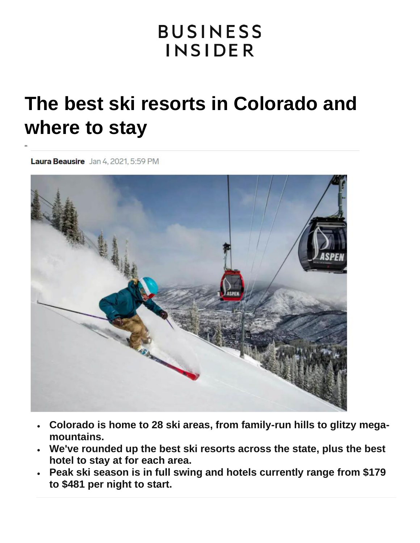# **BUSINESS INSIDER**

# **The best ski resorts in Colorado and where to stay**

Laura Beausire Jan 4, 2021, 5:59 PM



- **Colorado is home to 28 ski areas, from family-run hills to glitzy megamountains.**
- **We've rounded up the best ski resorts across the state, plus the best hotel to stay at for each area.**
- **Peak ski season is in full swing and hotels currently range from \$179 to \$481 per night to start.**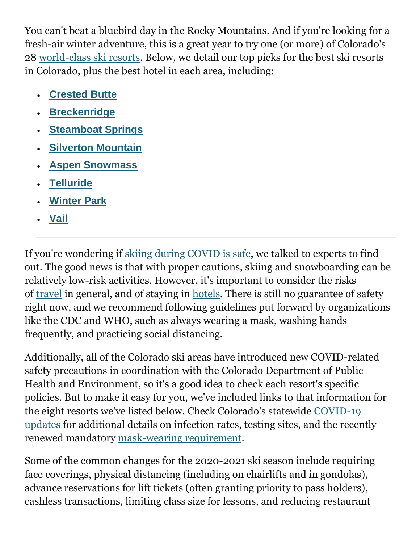You can't beat a bluebird day in the Rocky Mountains. And if you're looking for a fresh-air winter adventure, this is a great year to try one (or more) of Colorado's 28 [world-class ski resorts.](https://www.colorado.com/activities/colorado-skiing) Below, we detail our top picks for the best ski resorts in Colorado, plus the best hotel in each area, including:

- **[Crested Butte](https://www.businessinsider.com/best-ski-resorts-colorado/#crested-butte-1)**
- **[Breckenridge](https://www.businessinsider.com/best-ski-resorts-colorado/#breckenridge-3)**
- **[Steamboat Springs](https://www.businessinsider.com/best-ski-resorts-colorado/#steamboat-springs-5)**
- **[Silverton Mountain](https://www.businessinsider.com/best-ski-resorts-colorado/#silverton-mountain-7)**
- **[Aspen Snowmass](https://www.businessinsider.com/best-ski-resorts-colorado/#aspen-snowmass-9)**
- **[Telluride](https://www.businessinsider.com/best-ski-resorts-colorado/#telluride-11)**
- **[Winter Park](https://www.businessinsider.com/best-ski-resorts-colorado/#winter-park-resort-13)**
- **[Vail](https://www.businessinsider.com/best-ski-resorts-colorado/#vail-15)**

If you're wondering if [skiing during COVID is safe,](https://www.businessinsider.com/is-skiing-safe-covid) we talked to experts to find out. The good news is that with proper cautions, skiing and snowboarding can be relatively low-risk activities. However, it's important to consider the risks of [travel](https://www.businessinsider.com/is-travel-safe-coronavirus) in general, and of staying in [hotels.](https://www.businessinsider.com/are-hotels-safe-coronavirus) There is still no guarantee of safety right now, and we recommend following guidelines put forward by organizations like the CDC and WHO, such as always wearing a mask, washing hands frequently, and practicing social distancing.

Additionally, all of the Colorado ski areas have introduced new COVID-related safety precautions in coordination with the Colorado Department of Public Health and Environment, so it's a good idea to check each resort's specific policies. But to make it easy for you, we've included links to that information for the eight resorts we've listed below. Check Colorado's statewide [COVID-19](https://covid19.colorado.gov/)  [updates](https://covid19.colorado.gov/) for additional details on infection rates, testing sites, and the recently renewed mandatory [mask-wearing requirement.](https://covid19.colorado.gov/mask-guidance)

Some of the common changes for the 2020-2021 ski season include requiring face coverings, physical distancing (including on chairlifts and in gondolas), advance reservations for lift tickets (often granting priority to pass holders), cashless transactions, limiting class size for lessons, and reducing restaurant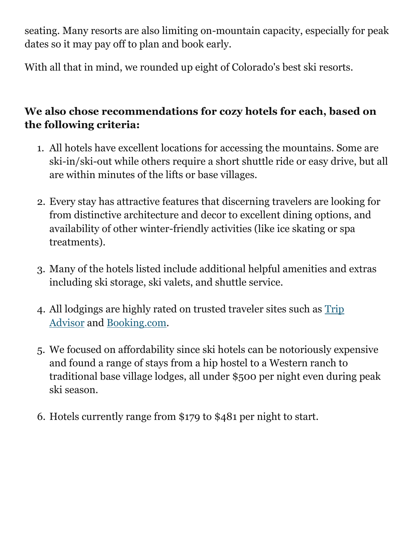seating. Many resorts are also limiting on-mountain capacity, especially for peak dates so it may pay off to plan and book early.

With all that in mind, we rounded up eight of Colorado's best ski resorts.

#### **We also chose recommendations for cozy hotels for each, based on the following criteria:**

- 1. All hotels have excellent locations for accessing the mountains. Some are ski-in/ski-out while others require a short shuttle ride or easy drive, but all are within minutes of the lifts or base villages.
- 2. Every stay has attractive features that discerning travelers are looking for from distinctive architecture and decor to excellent dining options, and availability of other winter-friendly activities (like ice skating or spa treatments).
- 3. Many of the hotels listed include additional helpful amenities and extras including ski storage, ski valets, and shuttle service.
- 4. All lodgings are highly rated on trusted traveler sites such as [Trip](https://www.anrdoezrs.net/links/6415797/type/dlg/sid/1612209219903ac7zj3irj-xid-fr1612209223348fcd/https:/www.tripadvisor.com/)  [Advisor](https://www.anrdoezrs.net/links/6415797/type/dlg/sid/1612209219903ac7zj3irj-xid-fr1612209223348fcd/https:/www.tripadvisor.com/) and [Booking.com.](https://www.awin1.com/cread.php?awinmid=6776&awinaffid=257137&ued=https%3A%2F%2Fwww.booking.com%2F&clickref=1612209219903a48xtfq4y|xid:fr1612209223348eei)
- 5. We focused on affordability since ski hotels can be notoriously expensive and found a range of stays from a hip hostel to a Western ranch to traditional base village lodges, all under \$500 per night even during peak ski season.
- 6. Hotels currently range from \$179 to \$481 per night to start.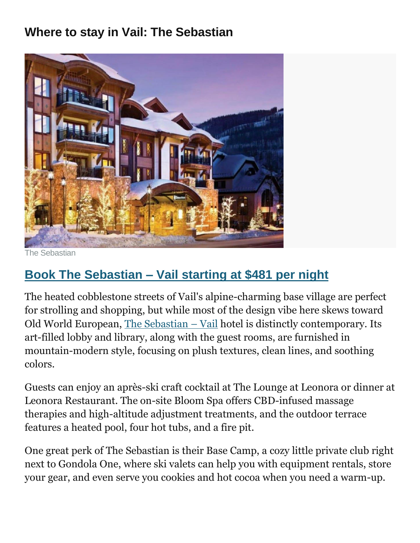## **Where to stay in Vail: The Sebastian**



Sebastian

# **Book The Sebastian – [Vail starting at \\$481 per night](https://www.awin1.com/cread.php?awinmid=6776&awinaffid=257137&ued=https%3A%2F%2Fwww.booking.com%2Fhotel%2Fus%2Fthe-sebastian-vail.en-gb.html&clickref=1612209219903a809if0c9|xid:fr1612209223349bfd)**

The heated cobblestone streets of Vail's alpine-charming base village are perfect for strolling and shopping, but while most of the design vibe here skews toward Old World European, [The Sebastian](https://www.awin1.com/cread.php?awinmid=6776&awinaffid=257137&ued=https%3A%2F%2Fwww.booking.com%2Fhotel%2Fus%2Fthe-sebastian-vail.en-gb.html&clickref=1612209219903amkwzi3bf|xid:fr1612209223349efj) – Vail hotel is distinctly contemporary. Its art-filled lobby and library, along with the guest rooms, are furnished in mountain-modern style, focusing on plush textures, clean lines, and soothing colors.

Guests can enjoy an après-ski craft cocktail at The Lounge at Leonora or dinner at Leonora Restaurant. The on-site Bloom Spa offers CBD-infused massage therapies and high-altitude adjustment treatments, and the outdoor terrace features a heated pool, four hot tubs, and a fire pit.

One great perk of The Sebastian is their Base Camp, a cozy little private club right next to Gondola One, where ski valets can help you with equipment rentals, store your gear, and even serve you cookies and hot cocoa when you need a warm-up.